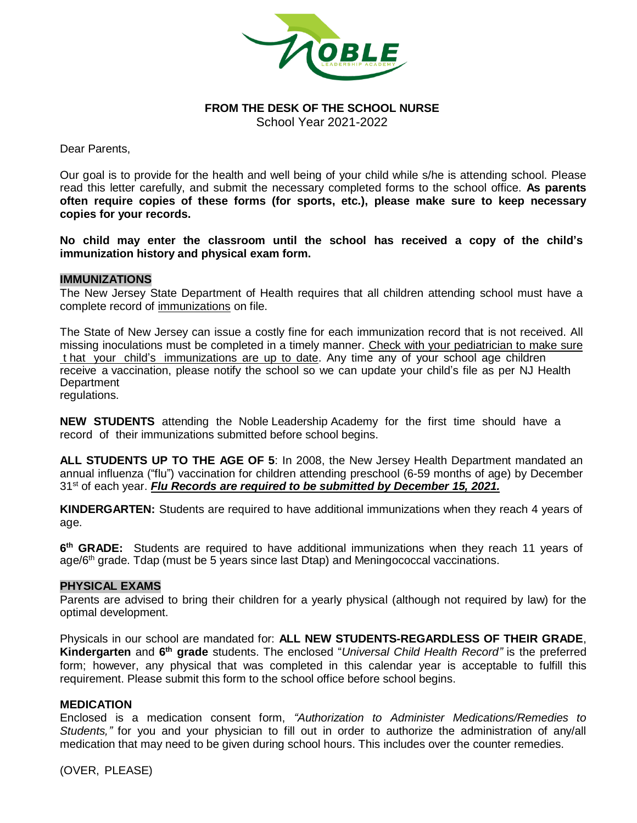

# **FROM THE DESK OF THE SCHOOL NURSE**

School Year 2021-2022

Dear Parents,

Our goal is to provide for the health and well being of your child while s/he is attending school. Please read this letter carefully, and submit the necessary completed forms to the school office. **As parents often require copies of these forms (for sports, etc.), please make sure to keep necessary copies for your records.**

**No child may enter the classroom until the school has received a copy of the child's immunization history and physical exam form.**

#### **IMMUNIZATIONS**

The New Jersey State Department of Health requires that all children attending school must have a complete record of immunizations on file.

The State of New Jersey can issue a costly fine for each immunization record that is not received. All missing inoculations must be completed in a timely manner. Check with your pediatrician to make sure t hat your child's immunizations are up to date. Any time any of your school age children receive a vaccination, please notify the school so we can update your child's file as per NJ Health **Department** regulations.

**NEW STUDENTS** attending the Noble Leadership Academy for the first time should have a record of their immunizations submitted before school begins.

**ALL STUDENTS UP TO THE AGE OF 5**: In 2008, the New Jersey Health Department mandated an annual influenza ("flu") vaccination for children attending preschool (6-59 months of age) by December 31st of each year. *Flu Records are required to be submitted by December 15, 2021.*

**KINDERGARTEN:** Students are required to have additional immunizations when they reach 4 years of age.

**6 th GRADE:** Students are required to have additional immunizations when they reach 11 years of age/6<sup>th</sup> grade. Tdap (must be 5 years since last Dtap) and Meningococcal vaccinations.

#### **PHYSICAL EXAMS**

Parents are advised to bring their children for a yearly physical (although not required by law) for the optimal development.

Physicals in our school are mandated for: **ALL NEW STUDENTS-REGARDLESS OF THEIR GRADE**, Kindergarten and 6<sup>th</sup> grade students. The enclosed "*Universal Child Health Record*" is the preferred form; however, any physical that was completed in this calendar year is acceptable to fulfill this requirement. Please submit this form to the school office before school begins.

#### **MEDICATION**

Enclosed is a medication consent form, *"Authorization to Administer Medications/Remedies to Students,"* for you and your physician to fill out in order to authorize the administration of any/all medication that may need to be given during school hours. This includes over the counter remedies.

(OVER, PLEASE)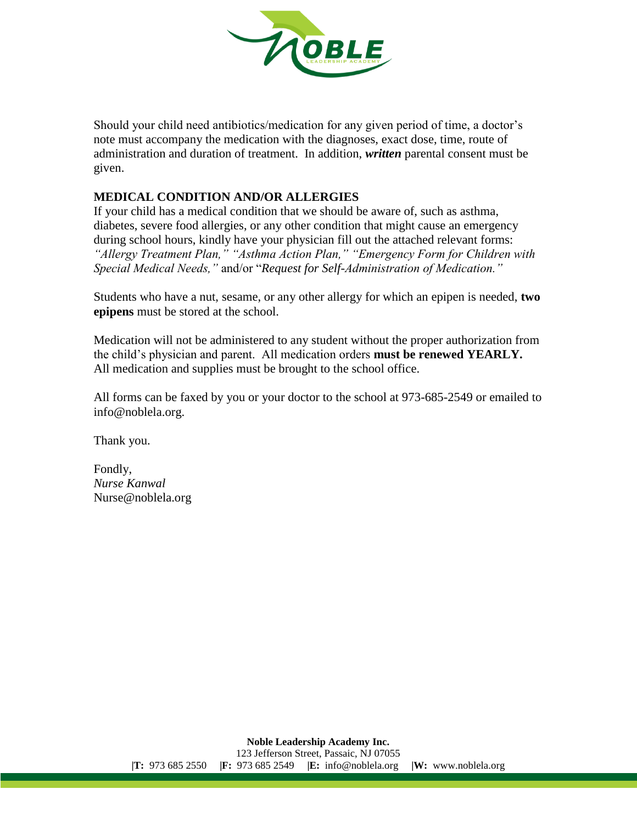

Should your child need antibiotics/medication for any given period of time, a doctor's note must accompany the medication with the diagnoses, exact dose, time, route of administration and duration of treatment. In addition, *written* parental consent must be given.

# **MEDICAL CONDITION AND/OR ALLERGIES**

If your child has a medical condition that we should be aware of, such as asthma, diabetes, severe food allergies, or any other condition that might cause an emergency during school hours, kindly have your physician fill out the attached relevant forms: *"Allergy Treatment Plan," "Asthma Action Plan," "Emergency Form for Children with Special Medical Needs,"* and/or "*Request for Self-Administration of Medication."*

Students who have a nut, sesame, or any other allergy for which an epipen is needed, **two epipens** must be stored at the school.

Medication will not be administered to any student without the proper authorization from the child's physician and parent. All medication orders **must be renewed YEARLY.**  All medication and supplies must be brought to the school office.

All forms can be faxed by you or your doctor to the school at 973-685-2549 or emailed to info@noblela.org.

Thank you.

Fondly, *Nurse Kanwal* Nurse@noblela.org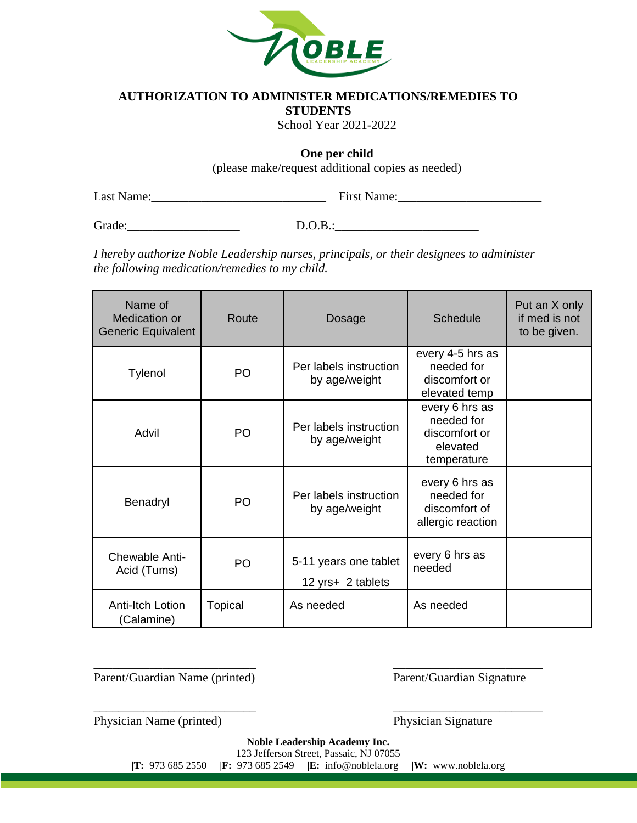

## **AUTHORIZATION TO ADMINISTER MEDICATIONS/REMEDIES TO**

**STUDENTS**

School Year 2021-2022

**One per child**

(please make/request additional copies as needed)

Last Name:\_\_\_\_\_\_\_\_\_\_\_\_\_\_\_\_\_\_\_\_\_\_\_\_\_\_\_\_ First Name:\_\_\_\_\_\_\_\_\_\_\_\_\_\_\_\_\_\_\_\_\_\_\_

Grade:\_\_\_\_\_\_\_\_\_\_\_\_\_\_\_\_\_\_ D.O.B.:\_\_\_\_\_\_\_\_\_\_\_\_\_\_\_\_\_\_\_\_\_\_\_

*I hereby authorize Noble Leadership nurses, principals, or their designees to administer the following medication/remedies to my child.* 

| Name of<br>Medication or<br><b>Generic Equivalent</b> | Route          | Dosage                                     | <b>Schedule</b>                                                          | Put an X only<br>if med is not<br>to be given. |
|-------------------------------------------------------|----------------|--------------------------------------------|--------------------------------------------------------------------------|------------------------------------------------|
| Tylenol                                               | PO             | Per labels instruction<br>by age/weight    | every 4-5 hrs as<br>needed for<br>discomfort or<br>elevated temp         |                                                |
| Advil                                                 | PO             | Per labels instruction<br>by age/weight    | every 6 hrs as<br>needed for<br>discomfort or<br>elevated<br>temperature |                                                |
| Benadryl                                              | PO             | Per labels instruction<br>by age/weight    | every 6 hrs as<br>needed for<br>discomfort of<br>allergic reaction       |                                                |
| Chewable Anti-<br>Acid (Tums)                         | P <sub>O</sub> | 5-11 years one tablet<br>12 yrs+ 2 tablets | every 6 hrs as<br>needed                                                 |                                                |
| Anti-Itch Lotion<br>(Calamine)                        | <b>Topical</b> | As needed                                  | As needed                                                                |                                                |

Parent/Guardian Name (printed) Parent/Guardian Signature

Physician Name (printed) Physician Signature

**Noble Leadership Academy Inc.** 123 Jefferson Street, Passaic, NJ 07055 **|T:** 973 685 2550 **|F:** 973 685 2549 **|E:** info@noblela.org **|W:** www.noblela.org

\_\_\_\_\_\_\_\_\_\_\_\_\_\_\_\_\_\_\_\_\_\_\_\_\_\_ \_\_\_\_\_\_\_\_\_\_\_\_\_\_\_\_\_\_\_\_\_\_\_\_

\_\_\_\_\_\_\_\_\_\_\_\_\_\_\_\_\_\_\_\_\_\_\_\_\_\_ \_\_\_\_\_\_\_\_\_\_\_\_\_\_\_\_\_\_\_\_\_\_\_\_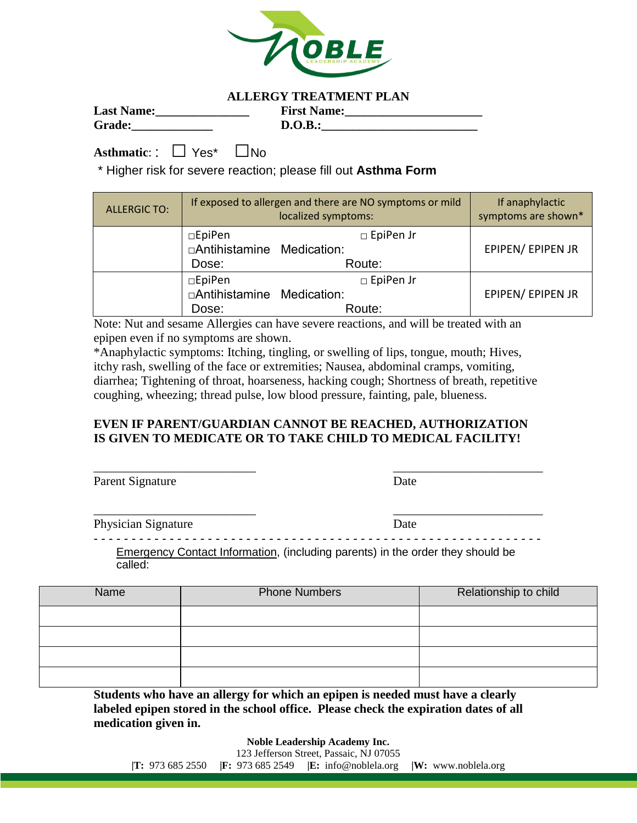

## **ALLERGY TREATMENT PLAN**

| <b>Last Name:</b> | <b>First Name:</b> |
|-------------------|--------------------|
| <b>Grade:</b>     | D.O.B.:            |

**Asthmatic**: : □ Yes\* □No

\* Higher risk for severe reaction; please fill out **Asthma Form**

| <b>ALLERGIC TO:</b> |                                                | If exposed to allergen and there are NO symptoms or mild<br>localized symptoms: | If anaphylactic<br>symptoms are shown* |
|---------------------|------------------------------------------------|---------------------------------------------------------------------------------|----------------------------------------|
|                     | □EpiPen<br>□Antihistamine Medication:<br>Dose: | $\square$ EpiPen Jr<br>Route:                                                   | EPIPEN/ EPIPEN JR                      |
|                     | □EpiPen<br>□Antihistamine Medication:<br>Dose: | $\Box$ EpiPen Jr<br>Route:                                                      | EPIPEN/ EPIPEN JR                      |

Note: Nut and sesame Allergies can have severe reactions, and will be treated with an epipen even if no symptoms are shown.

\*Anaphylactic symptoms: Itching, tingling, or swelling of lips, tongue, mouth; Hives, itchy rash, swelling of the face or extremities; Nausea, abdominal cramps, vomiting, diarrhea; Tightening of throat, hoarseness, hacking cough; Shortness of breath, repetitive coughing, wheezing; thread pulse, low blood pressure, fainting, pale, blueness.

# **EVEN IF PARENT/GUARDIAN CANNOT BE REACHED, AUTHORIZATION IS GIVEN TO MEDICATE OR TO TAKE CHILD TO MEDICAL FACILITY!**

\_\_\_\_\_\_\_\_\_\_\_\_\_\_\_\_\_\_\_\_\_\_\_\_\_\_ \_\_\_\_\_\_\_\_\_\_\_\_\_\_\_\_\_\_\_\_\_\_\_\_

| Parent Signature | Date |
|------------------|------|
|                  |      |

Physician Signature Date

- - - - - - - - - - - - - - - - - - - - - - - - - - - - - - - - - - - - - - - - - - - - - - - - - - - - - - - - - - - Emergency Contact Information, (including parents) in the order they should be called:

| Name | <b>Phone Numbers</b> | Relationship to child |
|------|----------------------|-----------------------|
|      |                      |                       |
|      |                      |                       |
|      |                      |                       |
|      |                      |                       |

**Students who have an allergy for which an epipen is needed must have a clearly labeled epipen stored in the school office. Please check the expiration dates of all medication given in.**

**Noble Leadership Academy Inc.**

\_\_\_\_\_\_\_\_\_\_\_\_\_\_\_\_\_\_\_\_\_\_\_\_\_\_ \_\_\_\_\_\_\_\_\_\_\_\_\_\_\_\_\_\_\_\_\_\_\_\_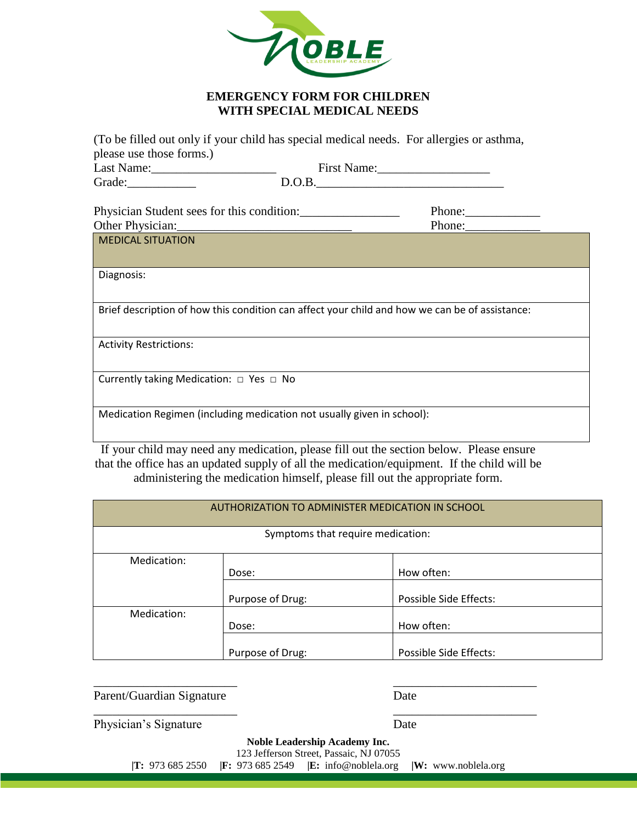

## **EMERGENCY FORM FOR CHILDREN WITH SPECIAL MEDICAL NEEDS**

(To be filled out only if your child has special medical needs. For allergies or asthma, please use those forms.)

|                                                                                                | First Name: |  |
|------------------------------------------------------------------------------------------------|-------------|--|
|                                                                                                | D.O.B.      |  |
| Physician Student sees for this condition:                                                     | Phone:      |  |
| Other Physician: 2008                                                                          | Phone:      |  |
| <b>MEDICAL SITUATION</b>                                                                       |             |  |
|                                                                                                |             |  |
| Diagnosis:                                                                                     |             |  |
|                                                                                                |             |  |
| Brief description of how this condition can affect your child and how we can be of assistance: |             |  |
|                                                                                                |             |  |
| <b>Activity Restrictions:</b>                                                                  |             |  |
|                                                                                                |             |  |
| Currently taking Medication: $\Box$ Yes $\Box$ No                                              |             |  |
|                                                                                                |             |  |
| Medication Regimen (including medication not usually given in school):                         |             |  |
|                                                                                                |             |  |

If your child may need any medication, please fill out the section below. Please ensure that the office has an updated supply of all the medication/equipment. If the child will be administering the medication himself, please fill out the appropriate form.

| AUTHORIZATION TO ADMINISTER MEDICATION IN SCHOOL |                  |                        |  |
|--------------------------------------------------|------------------|------------------------|--|
| Symptoms that require medication:                |                  |                        |  |
| Medication:                                      |                  |                        |  |
|                                                  | Dose:            | How often:             |  |
|                                                  | Purpose of Drug: | Possible Side Effects: |  |
| Medication:                                      |                  |                        |  |
|                                                  | Dose:            | How often:             |  |
|                                                  | Purpose of Drug: | Possible Side Effects: |  |

Parent/Guardian Signature Date

Physician's Signature Date

**Noble Leadership Academy Inc.** 123 Jefferson Street, Passaic, NJ 07055

 $\overline{\phantom{a}}$  , and the contract of the contract of the contract of the contract of the contract of the contract of the contract of the contract of the contract of the contract of the contract of the contract of the contrac

 $\overline{\phantom{a}}$  , and the contract of the contract of the contract of the contract of the contract of the contract of the contract of the contract of the contract of the contract of the contract of the contract of the contrac

**|T:** 973 685 2550 **|F:** 973 685 2549 **|E:** info@noblela.org **|W:** www.noblela.org